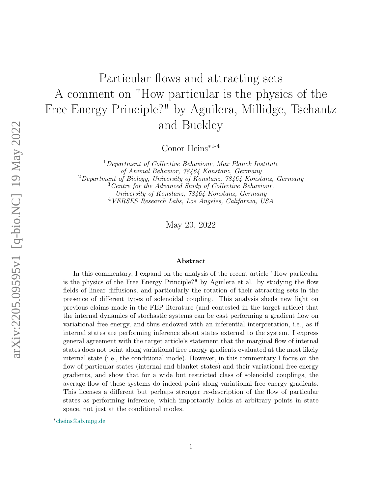# Particular flows and attracting sets A comment on "How particular is the physics of the Free Energy Principle?" by Aguilera, Millidge, Tschantz and Buckley

Conor Heins∗1-4

Department of Collective Behaviour, Max Planck Institute of Animal Behavior, 78464 Konstanz, Germany Department of Biology, University of Konstanz, 78464 Konstanz, Germany Centre for the Advanced Study of Collective Behaviour, University of Konstanz, 78464 Konstanz, Germany VERSES Research Labs, Los Angeles, California, USA

May 20, 2022

#### Abstract

In this commentary, I expand on the analysis of the recent article "How particular is the physics of the Free Energy Principle?" by Aguilera et al. by studying the flow fields of linear diffusions, and particularly the rotation of their attracting sets in the presence of different types of solenoidal coupling. This analysis sheds new light on previous claims made in the FEP literature (and contested in the target article) that the internal dynamics of stochastic systems can be cast performing a gradient flow on variational free energy, and thus endowed with an inferential interpretation, i.e., as if internal states are performing inference about states external to the system. I express general agreement with the target article's statement that the marginal flow of internal states does not point along variational free energy gradients evaluated at the most likely internal state (i.e., the conditional mode). However, in this commentary I focus on the flow of particular states (internal and blanket states) and their variational free energy gradients, and show that for a wide but restricted class of solenoidal couplings, the average flow of these systems do indeed point along variational free energy gradients. This licenses a different but perhaps stronger re-description of the flow of particular states as performing inference, which importantly holds at arbitrary points in state space, not just at the conditional modes.

<sup>∗</sup> [cheins@ab.mpg.de](mailto:cheins@ab.mpg.de)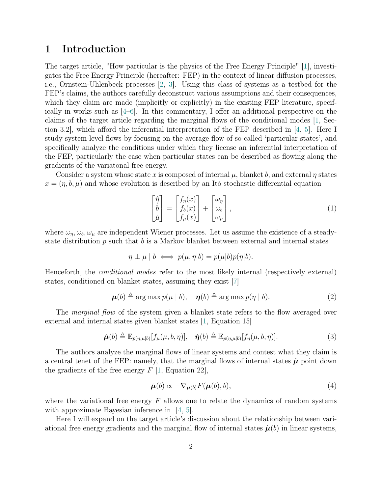# 1 Introduction

The target article, "How particular is the physics of the Free Energy Principle" [\[1\]](#page-7-0), investigates the Free Energy Principle (hereafter: FEP) in the context of linear diffusion processes, i.e., Ornstein-Uhlenbeck processes [\[2,](#page-7-1) [3\]](#page-7-2). Using this class of systems as a testbed for the FEP's claims, the authors carefully deconstruct various assumptions and their consequences, which they claim are made (implicitly or explicitly) in the existing FEP literature, specifically in works such as  $(4-6)$ . In this commentary, I offer an additional perspective on the claims of the target article regarding the marginal flows of the conditional modes [\[1,](#page-7-0) Section 3.2], which afford the inferential interpretation of the FEP described in [\[4,](#page-7-3) [5\]](#page-7-5). Here I study system-level flows by focusing on the average flow of so-called 'particular states', and specifically analyze the conditions under which they license an inferential interpretation of the FEP, particularly the case when particular states can be described as flowing along the gradients of the variatonal free energy.

Consider a system whose state x is composed of internal  $\mu$ , blanket b, and external  $\eta$  states  $x = (\eta, b, \mu)$  and whose evolution is described by an Itô stochastic differential equation

<span id="page-1-0"></span>
$$
\begin{bmatrix} \dot{\eta} \\ \dot{b} \\ \dot{\mu} \end{bmatrix} = \begin{bmatrix} f_{\eta}(x) \\ f_{b}(x) \\ f_{\mu}(x) \end{bmatrix} + \begin{bmatrix} \omega_{\eta} \\ \omega_{b} \\ \omega_{\mu} \end{bmatrix},
$$
\n(1)

where  $\omega_{\eta}, \omega_{b}, \omega_{\mu}$  are independent Wiener processes. Let us assume the existence of a steadystate distribution  $p$  such that  $b$  is a Markov blanket between external and internal states

$$
\eta \perp \mu \mid b \iff p(\mu, \eta | b) = p(\mu | b) p(\eta | b).
$$

Henceforth, the conditional modes refer to the most likely internal (respectively external) states, conditioned on blanket states, assuming they exist [\[7\]](#page-7-6)

$$
\boldsymbol{\mu}(b) \triangleq \arg \max p(\mu \mid b), \quad \boldsymbol{\eta}(b) \triangleq \arg \max p(\eta \mid b). \tag{2}
$$

The *marginal flow* of the system given a blanket state refers to the flow averaged over external and internal states given blanket states [\[1,](#page-7-0) Equation 15]

$$
\dot{\boldsymbol{\mu}}(b) \triangleq \mathbb{E}_{p(\eta,\mu|b)}[f_{\mu}(\mu,b,\eta)], \quad \dot{\boldsymbol{\eta}}(b) \triangleq \mathbb{E}_{p(\eta,\mu|b)}[f_{\eta}(\mu,b,\eta)]. \tag{3}
$$

The authors analyze the marginal flows of linear systems and contest what they claim is a central tenet of the FEP: namely, that the marginal flows of internal states  $\mu$  point down the gradients of the free energy  $F$  [\[1,](#page-7-0) Equation 22],

$$
\dot{\boldsymbol{\mu}}(b) \propto -\nabla_{\boldsymbol{\mu}(b)} F(\boldsymbol{\mu}(b), b), \tag{4}
$$

where the variational free energy  $F$  allows one to relate the dynamics of random systems with approximate Bayesian inference in  $[4, 5]$  $[4, 5]$  $[4, 5]$ .

Here I will expand on the target article's discussion about the relationship between variational free energy gradients and the marginal flow of internal states  $\dot{\mu}(b)$  in linear systems,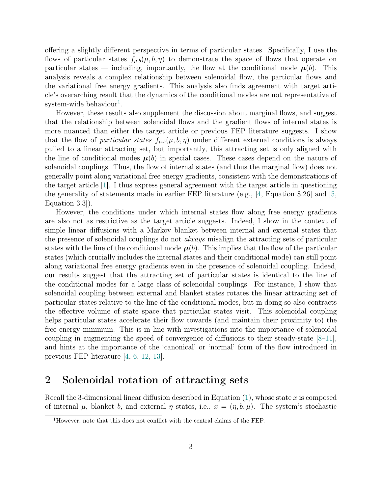offering a slightly different perspective in terms of particular states. Specifically, I use the flows of particular states  $f_{\mu,b}(\mu, b, \eta)$  to demonstrate the space of flows that operate on particular states — including, importantly, the flow at the conditional mode  $\mu(b)$ . This analysis reveals a complex relationship between solenoidal flow, the particular flows and the variational free energy gradients. This analysis also finds agreement with target article's overarching result that the dynamics of the conditional modes are not representative of  $system$ -wide behaviour<sup>[1](#page-2-0)</sup>.

However, these results also supplement the discussion about marginal flows, and suggest that the relationship between solenoidal flows and the gradient flows of internal states is more nuanced than either the target article or previous FEP literature suggests. I show that the flow of particular states  $f_{\mu,b}(\mu, b, \eta)$  under different external conditions is always pulled to a linear attracting set, but importantly, this attracting set is only aligned with the line of conditional modes  $\mu(b)$  in special cases. These cases depend on the nature of solenoidal couplings. Thus, the flow of internal states (and thus the marginal flow) does not generally point along variational free energy gradients, consistent with the demonstrations of the target article [\[1\]](#page-7-0). I thus express general agreement with the target article in questioning the generality of statements made in earlier FEP literature (e.g.,  $|4$ , Equation 8.26 and  $|5$ , Equation 3.3]).

However, the conditions under which internal states flow along free energy gradients are also not as restrictive as the target article suggests. Indeed, I show in the context of simple linear diffusions with a Markov blanket between internal and external states that the presence of solenoidal couplings do not always misalign the attracting sets of particular states with the line of the conditional mode  $\mu(b)$ . This implies that the flow of the particular states (which crucially includes the internal states and their conditional mode) can still point along variational free energy gradients even in the presence of solenoidal coupling. Indeed, our results suggest that the attracting set of particular states is identical to the line of the conditional modes for a large class of solenoidal couplings. For instance, I show that solenoidal coupling between external and blanket states rotates the linear attracting set of particular states relative to the line of the conditional modes, but in doing so also contracts the effective volume of state space that particular states visit. This solenoidal coupling helps particular states accelerate their flow towards (and maintain their proximity to) the free energy minimum. This is in line with investigations into the importance of solenoidal coupling in augmenting the speed of convergence of diffusions to their steady-state [\[8–](#page-7-7)[11\]](#page-8-0), and hints at the importance of the 'canonical' or 'normal' form of the flow introduced in previous FEP literature [\[4,](#page-7-3) [6,](#page-7-4) [12,](#page-8-1) [13\]](#page-8-2).

## 2 Solenoidal rotation of attracting sets

Recall the 3-dimensional linear diffusion described in Equation  $(1)$ , whose state x is composed of internal  $\mu$ , blanket b, and external  $\eta$  states, i.e.,  $x = (\eta, b, \mu)$ . The system's stochastic

<span id="page-2-0"></span><sup>1</sup>However, note that this does not conflict with the central claims of the FEP.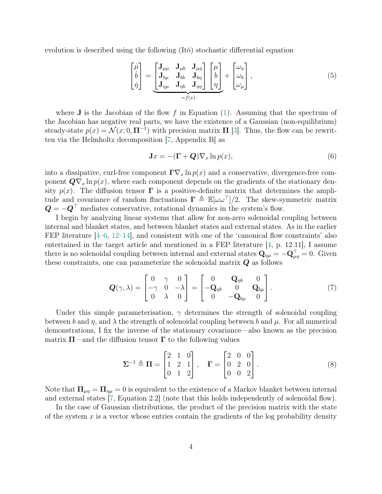evolution is described using the following (Itô) stochastic differential equation

$$
\begin{bmatrix} \dot{\mu} \\ \dot{b} \\ \dot{\eta} \end{bmatrix} = \underbrace{\begin{bmatrix} \mathbf{J}_{\mu\mu} & \mathbf{J}_{\mu b} & \mathbf{J}_{\mu\eta} \\ \mathbf{J}_{b\mu} & \mathbf{J}_{b\sigma} & \mathbf{J}_{b\eta} \\ \mathbf{J}_{\eta\mu} & \mathbf{J}_{\eta b} & \mathbf{J}_{\eta\eta} \end{bmatrix}}_{=f(x)} \begin{bmatrix} \mu \\ b \\ \eta \end{bmatrix} + \begin{bmatrix} \omega_{\eta} \\ \omega_{b} \\ \omega_{\mu} \end{bmatrix},
$$
\n(5)

where **J** is the Jacobian of the flow f in Equation [\(1\)](#page-1-0). Assuming that the spectrum of the Jacobian has negative real parts, we have the existence of a Gaussian (non-equilibrium) steady-state  $p(x) = \mathcal{N}(x; 0, \Pi^{-1})$  with precision matrix  $\Pi$  [\[3\]](#page-7-2). Thus, the flow can be rewritten via the Helmholtz decomposition [\[7,](#page-7-6) Appendix B] as

$$
\mathbf{J}x = -(\mathbf{\Gamma} + \mathbf{Q})\nabla_x \ln p(x),\tag{6}
$$

into a dissipative, curl-free component  $\Gamma \nabla_x \ln p(x)$  and a conservative, divergence-free component  $\mathbf{Q} \nabla_x \ln p(x)$ , where each component depends on the gradients of the stationary density  $p(x)$ . The diffusion tensor  $\Gamma$  is a positive-definite matrix that determines the amplitude and covariance of random fluctuations  $\Gamma \triangleq \mathbb{E}[\omega \omega^{\top}]/2$ . The skew-symmetric matrix  $\mathbf{Q} = -\mathbf{Q}^{\top}$  mediates conservative, rotational dynamics in the system's flow.

I begin by analyzing linear systems that allow for non-zero solenoidal coupling between internal and blanket states, and between blanket states and external states. As in the earlier FEP literature  $[4-6, 12-14]$  $[4-6, 12-14]$  $[4-6, 12-14]$  $[4-6, 12-14]$ , and consistent with one of the 'canonical flow constraints' also entertained in the target article and mentioned in a FEP literature [\[4,](#page-7-3) p. 12.11], I assume there is no solenoidal coupling between internal and external states  $\mathbf{Q}_{\eta\mu} = -\mathbf{Q}_{\mu\eta}^{\top} = 0$ . Given these constraints, one can parameterize the solenoidal matrix  $Q$  as follows

$$
\mathbf{Q}(\gamma,\lambda) = \begin{bmatrix} 0 & \gamma & 0 \\ -\gamma & 0 & -\lambda \\ 0 & \lambda & 0 \end{bmatrix} = \begin{bmatrix} 0 & \mathbf{Q}_{\eta b} & 0 \\ -\mathbf{Q}_{\eta b} & 0 & \mathbf{Q}_{b\mu} \\ 0 & -\mathbf{Q}_{b\mu} & 0 \end{bmatrix}.
$$
 (7)

Under this simple parameterisation,  $\gamma$  determines the strength of solenoidal coupling between b and  $\eta$ , and  $\lambda$  the strength of solenoidal coupling between b and  $\mu$ . For all numerical demonstrations, I fix the inverse of the stationary covariance—also known as the precision matrix  $\Pi$ —and the diffusion tensor  $\Gamma$  to the following values

$$
\Sigma^{-1} \triangleq \Pi = \begin{bmatrix} 2 & 1 & 0 \\ 1 & 2 & 1 \\ 0 & 1 & 2 \end{bmatrix}, \quad \Gamma = \begin{bmatrix} 2 & 0 & 0 \\ 0 & 2 & 0 \\ 0 & 0 & 2 \end{bmatrix}.
$$
 (8)

Note that  $\Pi_{\mu\eta} = \Pi_{\eta\mu} = 0$  is equivalent to the existence of a Markov blanket between internal and external states [\[7,](#page-7-6) Equation 2.2] (note that this holds independently of solenoidal flow).

In the case of Gaussian distributions, the product of the precision matrix with the state of the system x is a vector whose entries contain the gradients of the log probability density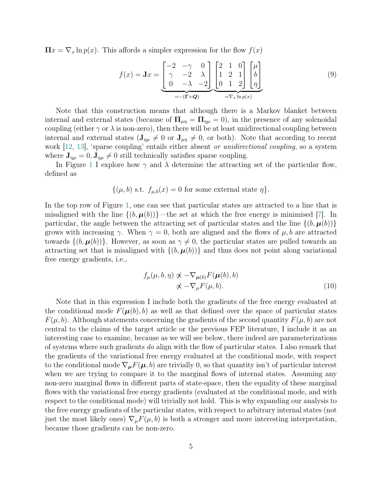$\Pi x = \nabla_x \ln p(x)$ . This affords a simpler expression for the flow  $f(x)$ 

$$
f(x) = \mathbf{J}x = \underbrace{\begin{bmatrix} -2 & -\gamma & 0 \\ \gamma & -2 & \lambda \\ 0 & -\lambda & -2 \end{bmatrix}}_{=-(\mathbf{\Gamma}+\mathbf{Q})} \underbrace{\begin{bmatrix} 2 & 1 & 0 \\ 1 & 2 & 1 \\ 0 & 1 & 2 \end{bmatrix}}_{= \nabla_x \ln p(x)} \begin{bmatrix} \mu \\ b \\ \eta \end{bmatrix}
$$
(9)

Note that this construction means that although there is a Markov blanket between internal and external states (because of  $\Pi_{\mu\eta} = \Pi_{\eta\mu} = 0$ ), in the presence of any solenoidal coupling (either  $\gamma$  or  $\lambda$  is non-zero), then there will be at least unidirectional coupling between internal and external states  $(J_{\eta\mu} \neq 0 \text{ or } J_{\mu\eta} \neq 0, \text{ or both})$ . Note that according to recent work [\[12,](#page-8-1) [13\]](#page-8-2), 'sparse coupling' entails either absent *or unidirectional coupling*, so a system where  $J_{\eta\mu} = 0, J_{\eta\mu} \neq 0$  still technically satisfies sparse coupling.

In Figure [1](#page-5-0) I explore how  $\gamma$  and  $\lambda$  determine the attracting set of the particular flow, defined as

$$
\{(\mu, b) \text{ s.t. } f_{\mu, b}(x) = 0 \text{ for some external state } \eta\}.
$$

In the top row of Figure [1,](#page-5-0) one can see that particular states are attracted to a line that is misaligned with the line  $\{(b, \mu(b))\}$ —the set at which the free energy is minimised [\[7\]](#page-7-6). In particular, the angle between the attracting set of particular states and the line  $\{(b, \boldsymbol{\mu}(b))\}\$ grows with increasing  $\gamma$ . When  $\gamma = 0$ , both are aligned and the flows of  $\mu$ , b are attracted towards  $\{(b, \mu(b))\}$ . However, as soon as  $\gamma \neq 0$ , the particular states are pulled towards an attracting set that is misaligned with  $\{(b, \mu(b))\}$  and thus does not point along variational free energy gradients, i.e.,

$$
f_{\mu}(\mu, b, \eta) \not\propto -\nabla_{\mu(b)} F(\mu(b), b)
$$
  
 
$$
\not\propto -\nabla_{\mu} F(\mu, b). \tag{10}
$$

Note that in this expression I include both the gradients of the free energy evaluated at the conditional mode  $F(\mu(b), b)$  as well as that defined over the space of particular states  $F(\mu, b)$ . Although statements concerning the gradients of the second quantity  $F(\mu, b)$  are not central to the claims of the target article or the previous FEP literature, I include it as an interesting case to examine, because as we will see below, there indeed are parameterizations of systems where such gradients do align with the flow of particular states. I also remark that the gradients of the variational free energy evaluated at the conditional mode, with respect to the conditional mode  $\nabla_{\mu}F(\mu, b)$  are trivially 0, so that quantity isn't of particular interest when we are trying to compare it to the marginal flows of internal states. Assuming any non-zero marginal flows in different parts of state-space, then the equality of these marginal flows with the variational free energy gradients (evaluated at the conditional mode, and with respect to the conditional mode) will trivially not hold. This is why expanding our analysis to the free energy gradients of the particular states, with respect to arbitrary internal states (not just the most likely ones)  $\nabla_{\mu} F(\mu, b)$  is both a stronger and more interesting interpretation, because those gradients can be non-zero.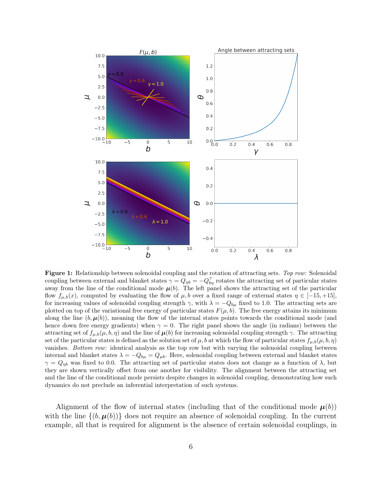<span id="page-5-0"></span>

Figure 1: Relationship between solenoidal coupling and the rotation of attracting sets. Top row: Solenoidal coupling between external and blanket states  $\gamma = Q_{\eta b} = -Q_{b\eta}^{\top}$  rotates the attracting set of particular states away from the line of the conditional mode  $\mu(b)$ . The left panel shows the attracting set of the particular flow  $f_{\mu,b}(x)$ , computed by evaluating the flow of  $\mu,b$  over a fixed range of external states  $\eta \in [-15, +15]$ . for increasing values of solenoidal coupling strength  $\gamma$ , with  $\lambda = -Q_{b\mu}$  fixed to 1.0. The attracting sets are plotted on top of the variational free energy of particular states  $F(\mu, b)$ . The free energy attains its minimum along the line  $(b, \mu(b))$ , meaning the flow of the internal states points towards the conditional mode (and hence down free energy gradients) when  $\gamma = 0$ . The right panel shows the angle (in radians) between the attracting set of  $f_{\mu,b}(\mu, b, \eta)$  and the line of  $\mu(b)$  for increasing solenoidal coupling strength  $\gamma$ . The attracting set of the particular states is defined as the solution set of  $\mu$ , b at which the flow of particular states  $f_{\mu,b}(\mu, b, \eta)$ vanishes. Bottom row: identical analysis as the top row but with varying the solenoidal coupling between internal and blanket states  $\lambda = -Q_{b\mu} = Q_{\mu b}$ . Here, solenoidal coupling between external and blanket states  $\gamma = Q_{\eta b}$  was fixed to 0.0. The attracting set of particular states does not change as a function of  $\lambda$ , but they are shown vertically offset from one another for visibility. The alignment between the attracting set and the line of the conditional mode persists despite changes in solenoidal coupling, demonstrating how such dynamics do not preclude an inferential interpretation of such systems.

Alignment of the flow of internal states (including that of the conditional mode  $\mu(b)$ ) with the line  $\{(b, \mu(b))\}$  does not require an absence of solenoidal coupling. In the current example, all that is required for alignment is the absence of certain solenoidal couplings, in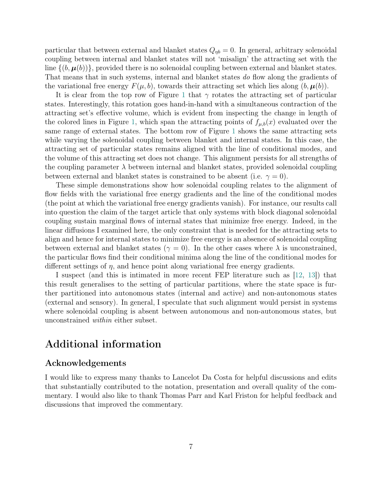particular that between external and blanket states  $Q_{\eta b} = 0$ . In general, arbitrary solenoidal coupling between internal and blanket states will not 'misalign' the attracting set with the line  $\{(b, \mu(b))\}$ , provided there is no solenoidal coupling between external and blanket states. That means that in such systems, internal and blanket states do flow along the gradients of the variational free energy  $F(\mu, b)$ , towards their attracting set which lies along  $(b, \mu(b))$ .

It is clear from the top row of Figure [1](#page-5-0) that  $\gamma$  rotates the attracting set of particular states. Interestingly, this rotation goes hand-in-hand with a simultaneous contraction of the attracting set's effective volume, which is evident from inspecting the change in length of the colored lines in Figure [1,](#page-5-0) which span the attracting points of  $f_{\mu,b}(x)$  evaluated over the same range of external states. The bottom row of Figure [1](#page-5-0) shows the same attracting sets while varying the solenoidal coupling between blanket and internal states. In this case, the attracting set of particular states remains aligned with the line of conditional modes, and the volume of this attracting set does not change. This alignment persists for all strengths of the coupling parameter  $\lambda$  between internal and blanket states, provided solenoidal coupling between external and blanket states is constrained to be absent (i.e.  $\gamma = 0$ ).

These simple demonstrations show how solenoidal coupling relates to the alignment of flow fields with the variational free energy gradients and the line of the conditional modes (the point at which the variational free energy gradients vanish). For instance, our results call into question the claim of the target article that only systems with block diagonal solenoidal coupling sustain marginal flows of internal states that minimize free energy. Indeed, in the linear diffusions I examined here, the only constraint that is needed for the attracting sets to align and hence for internal states to minimize free energy is an absence of solenoidal coupling between external and blanket states ( $\gamma = 0$ ). In the other cases where  $\lambda$  is unconstrained, the particular flows find their conditional minima along the line of the conditional modes for different settings of  $\eta$ , and hence point along variational free energy gradients.

I suspect (and this is intimated in more recent FEP literature such as [\[12,](#page-8-1) [13\]](#page-8-2)) that this result generalises to the setting of particular partitions, where the state space is further partitioned into autonomous states (internal and active) and non-autonomous states (external and sensory). In general, I speculate that such alignment would persist in systems where solenoidal coupling is absent between autonomous and non-autonomous states, but unconstrained within either subset.

## Additional information

#### Acknowledgements

I would like to express many thanks to Lancelot Da Costa for helpful discussions and edits that substantially contributed to the notation, presentation and overall quality of the commentary. I would also like to thank Thomas Parr and Karl Friston for helpful feedback and discussions that improved the commentary.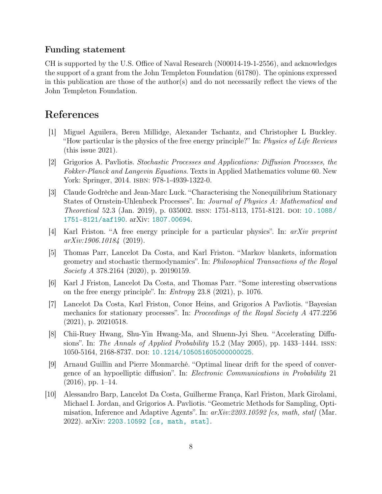#### Funding statement

CH is supported by the U.S. Office of Naval Research (N00014-19-1-2556), and acknowledges the support of a grant from the John Templeton Foundation (61780). The opinions expressed in this publication are those of the author(s) and do not necessarily reflect the views of the John Templeton Foundation.

## References

- <span id="page-7-0"></span>[1] Miguel Aguilera, Beren Millidge, Alexander Tschantz, and Christopher L Buckley. "How particular is the physics of the free energy principle?" In: Physics of Life Reviews (this issue 2021).
- <span id="page-7-1"></span>[2] Grigorios A. Pavliotis. Stochastic Processes and Applications: Diffusion Processes, the Fokker-Planck and Langevin Equations. Texts in Applied Mathematics volume 60. New York: Springer, 2014. isbn: 978-1-4939-1322-0.
- <span id="page-7-2"></span>[3] Claude Godrèche and Jean-Marc Luck. "Characterising the Nonequilibrium Stationary States of Ornstein-Uhlenbeck Processes". In: Journal of Physics A: Mathematical and Theoretical 52.3 (Jan. 2019), p. 035002. issn: 1751-8113, 1751-8121. doi: [10.1088/](https://doi.org/10.1088/1751-8121/aaf190) [1751-8121/aaf190](https://doi.org/10.1088/1751-8121/aaf190). arXiv: [1807.00694](https://arxiv.org/abs/1807.00694).
- <span id="page-7-3"></span>[4] Karl Friston. "A free energy principle for a particular physics". In: arXiv preprint arXiv:1906.10184 (2019).
- <span id="page-7-5"></span>[5] Thomas Parr, Lancelot Da Costa, and Karl Friston. "Markov blankets, information geometry and stochastic thermodynamics". In: Philosophical Transactions of the Royal Society A 378.2164 (2020), p. 20190159.
- <span id="page-7-4"></span>[6] Karl J Friston, Lancelot Da Costa, and Thomas Parr. "Some interesting observations on the free energy principle". In: Entropy 23.8 (2021), p. 1076.
- <span id="page-7-6"></span>[7] Lancelot Da Costa, Karl Friston, Conor Heins, and Grigorios A Pavliotis. "Bayesian mechanics for stationary processes". In: Proceedings of the Royal Society A 477.2256 (2021), p. 20210518.
- <span id="page-7-7"></span>[8] Chii-Ruey Hwang, Shu-Yin Hwang-Ma, and Shuenn-Jyi Sheu. "Accelerating Diffusions". In: The Annals of Applied Probability 15.2 (May 2005), pp. 1433–1444. issn: 1050-5164, 2168-8737. doi: [10.1214/105051605000000025](https://doi.org/10.1214/105051605000000025).
- [9] Arnaud Guillin and Pierre Monmarché. "Optimal linear drift for the speed of convergence of an hypoelliptic diffusion". In: Electronic Communications in Probability 21  $(2016)$ , pp. 1–14.
- [10] Alessandro Barp, Lancelot Da Costa, Guilherme França, Karl Friston, Mark Girolami, Michael I. Jordan, and Grigorios A. Pavliotis. "Geometric Methods for Sampling, Optimisation, Inference and Adaptive Agents". In:  $arXiv:2203.10592$  [cs, math, stat] (Mar. 2022). arXiv: [2203.10592 \[cs, math, stat\]](https://arxiv.org/abs/2203.10592).